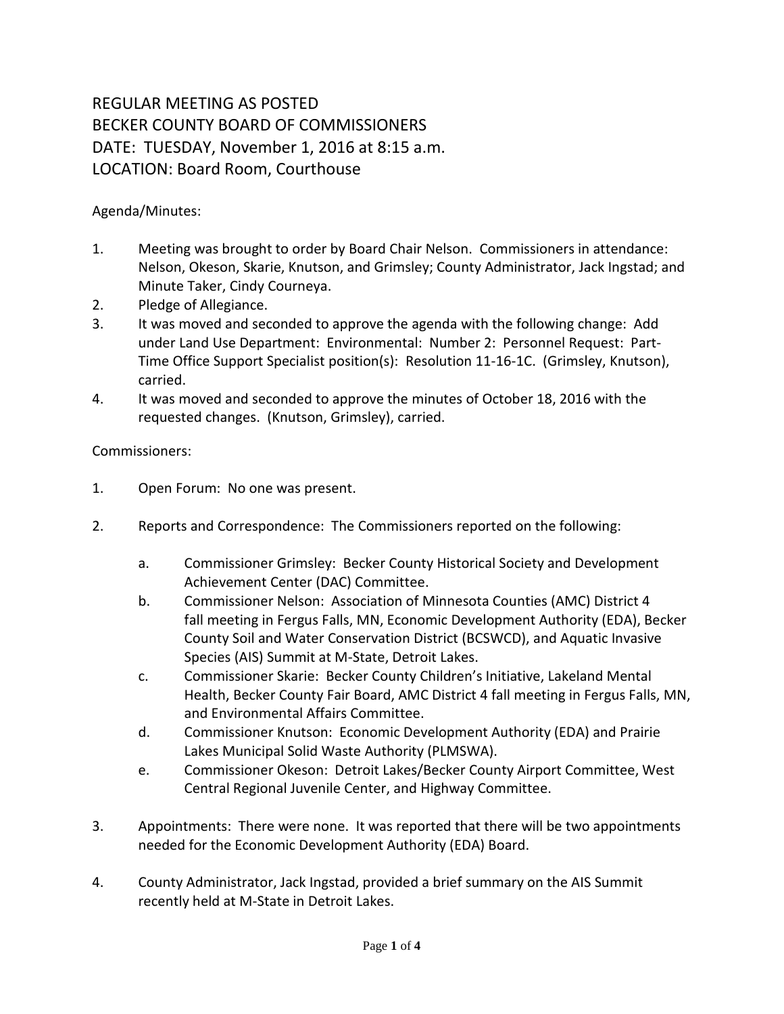## REGULAR MEETING AS POSTED BECKER COUNTY BOARD OF COMMISSIONERS DATE: TUESDAY, November 1, 2016 at 8:15 a.m. LOCATION: Board Room, Courthouse

Agenda/Minutes:

- 1. Meeting was brought to order by Board Chair Nelson. Commissioners in attendance: Nelson, Okeson, Skarie, Knutson, and Grimsley; County Administrator, Jack Ingstad; and Minute Taker, Cindy Courneya.
- 2. Pledge of Allegiance.
- 3. It was moved and seconded to approve the agenda with the following change: Add under Land Use Department: Environmental: Number 2: Personnel Request: Part-Time Office Support Specialist position(s): Resolution 11-16-1C. (Grimsley, Knutson), carried.
- 4. It was moved and seconded to approve the minutes of October 18, 2016 with the requested changes. (Knutson, Grimsley), carried.

Commissioners:

- 1. Open Forum: No one was present.
- 2. Reports and Correspondence: The Commissioners reported on the following:
	- a. Commissioner Grimsley: Becker County Historical Society and Development Achievement Center (DAC) Committee.
	- b. Commissioner Nelson: Association of Minnesota Counties (AMC) District 4 fall meeting in Fergus Falls, MN, Economic Development Authority (EDA), Becker County Soil and Water Conservation District (BCSWCD), and Aquatic Invasive Species (AIS) Summit at M-State, Detroit Lakes.
	- c. Commissioner Skarie: Becker County Children's Initiative, Lakeland Mental Health, Becker County Fair Board, AMC District 4 fall meeting in Fergus Falls, MN, and Environmental Affairs Committee.
	- d. Commissioner Knutson: Economic Development Authority (EDA) and Prairie Lakes Municipal Solid Waste Authority (PLMSWA).
	- e. Commissioner Okeson: Detroit Lakes/Becker County Airport Committee, West Central Regional Juvenile Center, and Highway Committee.
- 3. Appointments: There were none. It was reported that there will be two appointments needed for the Economic Development Authority (EDA) Board.
- 4. County Administrator, Jack Ingstad, provided a brief summary on the AIS Summit recently held at M-State in Detroit Lakes.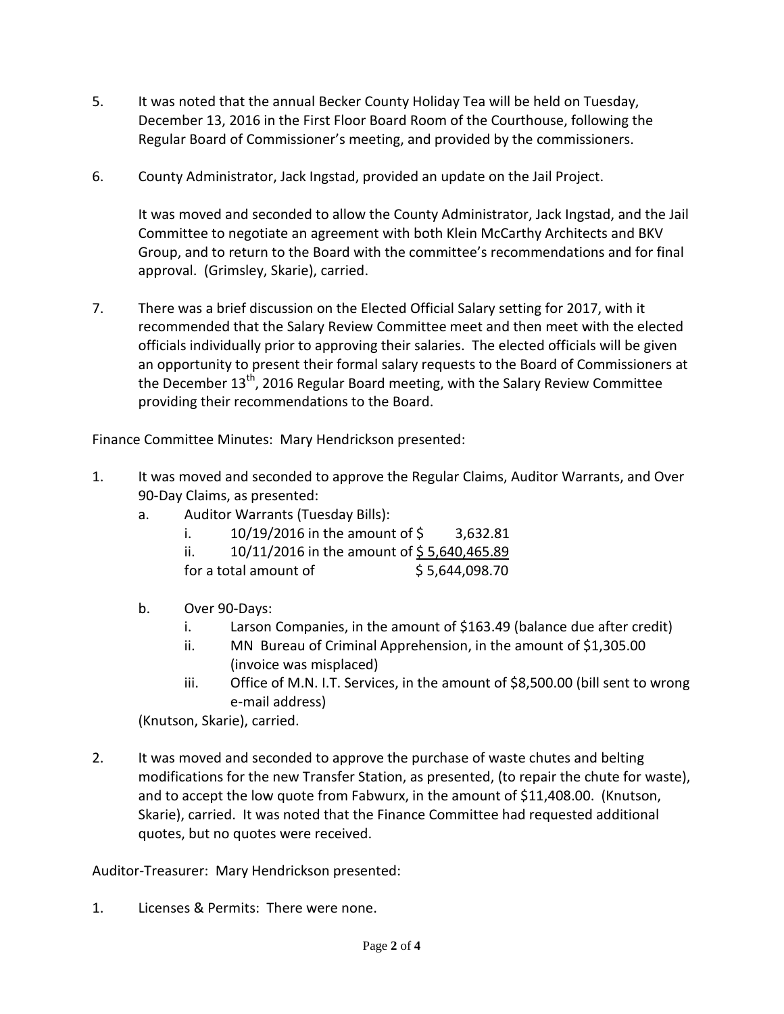- 5. It was noted that the annual Becker County Holiday Tea will be held on Tuesday, December 13, 2016 in the First Floor Board Room of the Courthouse, following the Regular Board of Commissioner's meeting, and provided by the commissioners.
- 6. County Administrator, Jack Ingstad, provided an update on the Jail Project.

It was moved and seconded to allow the County Administrator, Jack Ingstad, and the Jail Committee to negotiate an agreement with both Klein McCarthy Architects and BKV Group, and to return to the Board with the committee's recommendations and for final approval. (Grimsley, Skarie), carried.

7. There was a brief discussion on the Elected Official Salary setting for 2017, with it recommended that the Salary Review Committee meet and then meet with the elected officials individually prior to approving their salaries. The elected officials will be given an opportunity to present their formal salary requests to the Board of Commissioners at the December 13<sup>th</sup>, 2016 Regular Board meeting, with the Salary Review Committee providing their recommendations to the Board.

Finance Committee Minutes: Mary Hendrickson presented:

- 1. It was moved and seconded to approve the Regular Claims, Auditor Warrants, and Over 90-Day Claims, as presented:
	- a. Auditor Warrants (Tuesday Bills):
		- i. 10/19/2016 in the amount of \$ 3,632.81
		- ii.  $10/11/2016$  in the amount of \$5,640,465.89

for a total amount of  $$5,644,098.70$ 

- b. Over 90-Days:
	- i. Larson Companies, in the amount of \$163.49 (balance due after credit)
	- ii. MN Bureau of Criminal Apprehension, in the amount of \$1,305.00 (invoice was misplaced)
	- iii. Office of M.N. I.T. Services, in the amount of \$8,500.00 (bill sent to wrong e-mail address)

(Knutson, Skarie), carried.

2. It was moved and seconded to approve the purchase of waste chutes and belting modifications for the new Transfer Station, as presented, (to repair the chute for waste), and to accept the low quote from Fabwurx, in the amount of \$11,408.00. (Knutson, Skarie), carried. It was noted that the Finance Committee had requested additional quotes, but no quotes were received.

Auditor-Treasurer: Mary Hendrickson presented:

1. Licenses & Permits: There were none.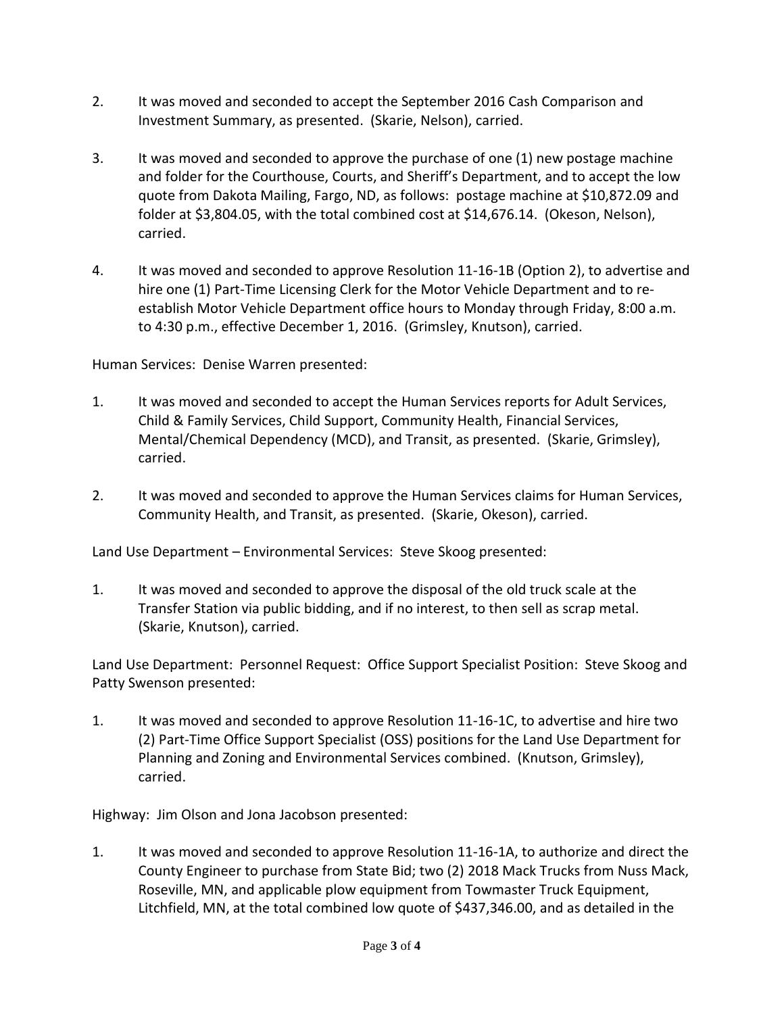- 2. It was moved and seconded to accept the September 2016 Cash Comparison and Investment Summary, as presented. (Skarie, Nelson), carried.
- 3. It was moved and seconded to approve the purchase of one (1) new postage machine and folder for the Courthouse, Courts, and Sheriff's Department, and to accept the low quote from Dakota Mailing, Fargo, ND, as follows: postage machine at \$10,872.09 and folder at \$3,804.05, with the total combined cost at \$14,676.14. (Okeson, Nelson), carried.
- 4. It was moved and seconded to approve Resolution 11-16-1B (Option 2), to advertise and hire one (1) Part-Time Licensing Clerk for the Motor Vehicle Department and to reestablish Motor Vehicle Department office hours to Monday through Friday, 8:00 a.m. to 4:30 p.m., effective December 1, 2016. (Grimsley, Knutson), carried.

Human Services: Denise Warren presented:

- 1. It was moved and seconded to accept the Human Services reports for Adult Services, Child & Family Services, Child Support, Community Health, Financial Services, Mental/Chemical Dependency (MCD), and Transit, as presented. (Skarie, Grimsley), carried.
- 2. It was moved and seconded to approve the Human Services claims for Human Services, Community Health, and Transit, as presented. (Skarie, Okeson), carried.

Land Use Department – Environmental Services: Steve Skoog presented:

1. It was moved and seconded to approve the disposal of the old truck scale at the Transfer Station via public bidding, and if no interest, to then sell as scrap metal. (Skarie, Knutson), carried.

Land Use Department: Personnel Request: Office Support Specialist Position: Steve Skoog and Patty Swenson presented:

1. It was moved and seconded to approve Resolution 11-16-1C, to advertise and hire two (2) Part-Time Office Support Specialist (OSS) positions for the Land Use Department for Planning and Zoning and Environmental Services combined. (Knutson, Grimsley), carried.

Highway: Jim Olson and Jona Jacobson presented:

1. It was moved and seconded to approve Resolution 11-16-1A, to authorize and direct the County Engineer to purchase from State Bid; two (2) 2018 Mack Trucks from Nuss Mack, Roseville, MN, and applicable plow equipment from Towmaster Truck Equipment, Litchfield, MN, at the total combined low quote of \$437,346.00, and as detailed in the